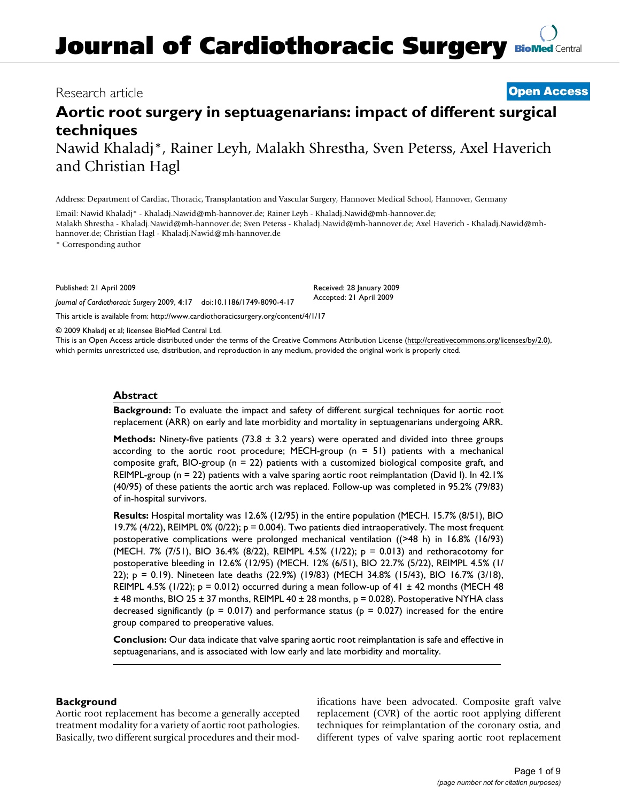# **Journal of Cardiothoracic Surgery [BioMed](http://www.biomedcentral.com/) Central**

### Research article **[Open Access](http://www.biomedcentral.com/info/about/charter/)**

## **Aortic root surgery in septuagenarians: impact of different surgical techniques**

Nawid Khaladj\*, Rainer Leyh, Malakh Shrestha, Sven Peterss, Axel Haverich and Christian Hagl

Address: Department of Cardiac, Thoracic, Transplantation and Vascular Surgery, Hannover Medical School, Hannover, Germany

Email: Nawid Khaladj\* - Khaladj.Nawid@mh-hannover.de; Rainer Leyh - Khaladj.Nawid@mh-hannover.de; Malakh Shrestha - Khaladj.Nawid@mh-hannover.de; Sven Peterss - Khaladj.Nawid@mh-hannover.de; Axel Haverich - Khaladj.Nawid@mhhannover.de; Christian Hagl - Khaladj.Nawid@mh-hannover.de

\* Corresponding author

Published: 21 April 2009

*Journal of Cardiothoracic Surgery* 2009, **4**:17 doi:10.1186/1749-8090-4-17

[This article is available from: http://www.cardiothoracicsurgery.org/content/4/1/17](http://www.cardiothoracicsurgery.org/content/4/1/17)

© 2009 Khaladj et al; licensee BioMed Central Ltd.

This is an Open Access article distributed under the terms of the Creative Commons Attribution License [\(http://creativecommons.org/licenses/by/2.0\)](http://creativecommons.org/licenses/by/2.0), which permits unrestricted use, distribution, and reproduction in any medium, provided the original work is properly cited.

Received: 28 January 2009 Accepted: 21 April 2009

#### **Abstract**

**Background:** To evaluate the impact and safety of different surgical techniques for aortic root replacement (ARR) on early and late morbidity and mortality in septuagenarians undergoing ARR.

**Methods:** Ninety-five patients (73.8 ± 3.2 years) were operated and divided into three groups according to the aortic root procedure; MECH-group ( $n = 51$ ) patients with a mechanical composite graft, BIO-group ( $n = 22$ ) patients with a customized biological composite graft, and REIMPL-group (n = 22) patients with a valve sparing aortic root reimplantation (David I). In 42.1% (40/95) of these patients the aortic arch was replaced. Follow-up was completed in 95.2% (79/83) of in-hospital survivors.

**Results:** Hospital mortality was 12.6% (12/95) in the entire population (MECH. 15.7% (8/51), BIO 19.7% (4/22), REIMPL 0% (0/22);  $p = 0.004$ ). Two patients died intraoperatively. The most frequent postoperative complications were prolonged mechanical ventilation ((>48 h) in 16.8% (16/93) (MECH. 7% (7/51), BIO 36.4% (8/22), REIMPL 4.5% (1/22);  $p = 0.013$ ) and rethoracotomy for postoperative bleeding in 12.6% (12/95) (MECH. 12% (6/51), BIO 22.7% (5/22), REIMPL 4.5% (1/ 22); p = 0.19). Nineteen late deaths (22.9%) (19/83) (MECH 34.8% (15/43), BIO 16.7% (3/18), REIMPL 4.5% (1/22);  $p = 0.012$ ) occurred during a mean follow-up of 41  $\pm$  42 months (MECH 48  $±$  48 months, BIO 25  $±$  37 months, REIMPL 40  $±$  28 months, p = 0.028). Postoperative NYHA class decreased significantly ( $p = 0.017$ ) and performance status ( $p = 0.027$ ) increased for the entire group compared to preoperative values.

**Conclusion:** Our data indicate that valve sparing aortic root reimplantation is safe and effective in septuagenarians, and is associated with low early and late morbidity and mortality.

#### **Background**

Aortic root replacement has become a generally accepted treatment modality for a variety of aortic root pathologies. Basically, two different surgical procedures and their modifications have been advocated. Composite graft valve replacement (CVR) of the aortic root applying different techniques for reimplantation of the coronary ostia, and different types of valve sparing aortic root replacement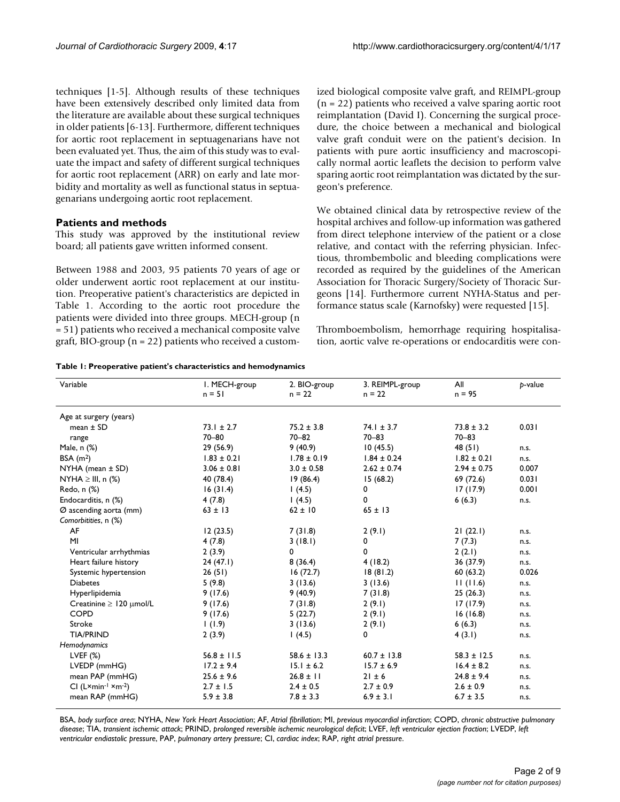techniques [1-5]. Although results of these techniques have been extensively described only limited data from the literature are available about these surgical techniques in older patients [6-13]. Furthermore, different techniques for aortic root replacement in septuagenarians have not been evaluated yet. Thus, the aim of this study was to evaluate the impact and safety of different surgical techniques for aortic root replacement (ARR) on early and late morbidity and mortality as well as functional status in septuagenarians undergoing aortic root replacement.

#### **Patients and methods**

This study was approved by the institutional review board; all patients gave written informed consent.

Between 1988 and 2003, 95 patients 70 years of age or older underwent aortic root replacement at our institution. Preoperative patient's characteristics are depicted in Table 1. According to the aortic root procedure the patients were divided into three groups. MECH-group (n = 51) patients who received a mechanical composite valve graft, BIO-group ( $n = 22$ ) patients who received a custom-

**Table 1: Preoperative patient's characteristics and hemodynamics**

ized biological composite valve graft, and REIMPL-group (n = 22) patients who received a valve sparing aortic root reimplantation (David I). Concerning the surgical procedure, the choice between a mechanical and biological valve graft conduit were on the patient's decision. In patients with pure aortic insufficiency and macroscopically normal aortic leaflets the decision to perform valve sparing aortic root reimplantation was dictated by the surgeon's preference.

We obtained clinical data by retrospective review of the hospital archives and follow-up information was gathered from direct telephone interview of the patient or a close relative, and contact with the referring physician. Infectious, thrombembolic and bleeding complications were recorded as required by the guidelines of the American Association for Thoracic Surgery/Society of Thoracic Surgeons [14]. Furthermore current NYHA-Status and performance status scale (Karnofsky) were requested [15].

Thromboembolism, hemorrhage requiring hospitalisation, aortic valve re-operations or endocarditis were con-

| Variable                               | I. MECH-group<br>$n = 51$ | 2. BIO-group<br>$n = 22$ | 3. REIMPL-group<br>$n = 22$ | All<br>$n = 95$ | b-value |
|----------------------------------------|---------------------------|--------------------------|-----------------------------|-----------------|---------|
| Age at surgery (years)                 |                           |                          |                             |                 |         |
| mean $\pm$ SD                          | $73.1 \pm 2.7$            | $75.2 \pm 3.8$           | $74.1 \pm 3.7$              | $73.8 \pm 3.2$  | 0.031   |
| range                                  | $70 - 80$                 | $70 - 82$                | $70 - 83$                   | $70 - 83$       |         |
| Male, n (%)                            | 29 (56.9)                 | 9(40.9)                  | 10(45.5)                    | 48(51)          | n.s.    |
| BSA $(m2)$                             | $1.83 \pm 0.21$           | $1.78 \pm 0.19$          | $1.84 \pm 0.24$             | $1.82 \pm 0.21$ | n.s.    |
| $NYHA$ (mean $\pm$ SD)                 | $3.06 \pm 0.81$           | $3.0 \pm 0.58$           | $2.62 \pm 0.74$             | $2.94 \pm 0.75$ | 0.007   |
| NYHA $\geq$ III, n (%)                 | 40 (78.4)                 | 19(86.4)                 | 15(68.2)                    | 69 (72.6)       | 0.031   |
| Redo, n (%)                            | 16(31.4)                  | 1(4.5)                   | 0                           | 17(17.9)        | 0.001   |
| Endocarditis, n (%)                    | 4(7.8)                    | 1(4.5)                   | 0                           | 6(6.3)          | n.s.    |
| Ø ascending aorta (mm)                 | $63 \pm 13$               | $62 \pm 10$              | $65 \pm 13$                 |                 |         |
| Comorbitities, n (%)                   |                           |                          |                             |                 |         |
| AF                                     | 12(23.5)                  | 7(31.8)                  | 2(9.1)                      | 21(22.1)        | n.s.    |
| MI                                     | 4(7.8)                    | 3(18.1)                  | 0                           | 7(7.3)          | n.s.    |
| Ventricular arrhythmias                | 2(3.9)                    | 0                        | 0                           | 2(2.1)          | n.s.    |
| Heart failure history                  | 24(47.1)                  | 8(36.4)                  | 4(18.2)                     | 36 (37.9)       | n.s.    |
| Systemic hypertension                  | 26(51)                    | 16(72.7)                 | 18(81.2)                    | 60(63.2)        | 0.026   |
| <b>Diabetes</b>                        | 5(9.8)                    | 3(13.6)                  | 3(13.6)                     | 11(11.6)        | n.s.    |
| Hyperlipidemia                         | 9(17.6)                   | 9(40.9)                  | 7(31.8)                     | 25(26.3)        | n.s.    |
| Creatinine $\geq$ 120 $\mu$ mol/L      | 9(17.6)                   | 7(31.8)                  | 2(9.1)                      | 17(17.9)        | n.s.    |
| <b>COPD</b>                            | 9(17.6)                   | 5(22.7)                  | 2(9.1)                      | 16(16.8)        | n.s.    |
| Stroke                                 | 1(1.9)                    | 3(13.6)                  | 2(9.1)                      | 6(6.3)          | n.s.    |
| <b>TIA/PRIND</b>                       | 2(3.9)                    | 1(4.5)                   | 0                           | 4(3.1)          | n.s.    |
| Hemodynamics                           |                           |                          |                             |                 |         |
| LVEF $(%)$                             | $56.8 \pm 11.5$           | $58.6 \pm 13.3$          | $60.7 \pm 13.8$             | $58.3 \pm 12.5$ | n.s.    |
| LVEDP (mmHG)                           | $17.2 \pm 9.4$            | $15.1 \pm 6.2$           | $15.7 \pm 6.9$              | $16.4 \pm 8.2$  | n.s.    |
| mean PAP (mmHG)                        | $25.6 \pm 9.6$            | $26.8 \pm 11$            | $21 \pm 6$                  | $24.8 \pm 9.4$  | n.s.    |
| $Cl (L \times min^{-1} \times m^{-2})$ | $2.7 \pm 1.5$             | $2.4 \pm 0.5$            | $2.7 \pm 0.9$               | $2.6 \pm 0.9$   | n.s.    |
| mean RAP (mmHG)                        | $5.9 \pm 3.8$             | $7.8 \pm 3.3$            | $6.9 \pm 3.1$               | $6.7 \pm 3.5$   | n.s.    |

BSA, *body surface area*; NYHA, *New York Heart Association*; AF, *Atrial fibrillation*; MI, *previous myocardial infarction*; COPD, *chronic obstructive pulmonary disease*; TIA, *transient ischemic attack*; PRIND, *prolonged reversible ischemic neurological deficit*; LVEF, *left ventricular ejection fraction*; LVEDP, *left ventricular endiastolic pressure*, PAP, *pulmonary artery pressure*; CI, *cardiac index*; RAP, *right atrial pressure*.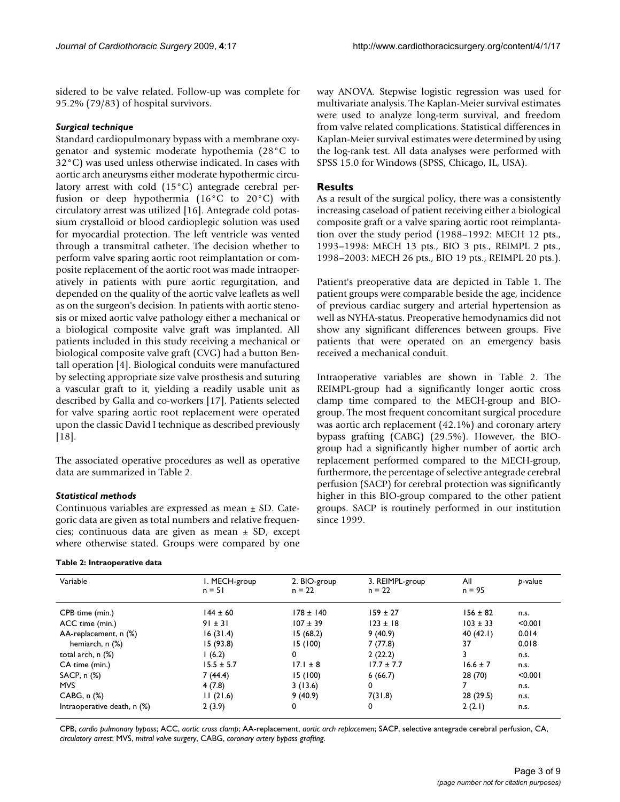sidered to be valve related. Follow-up was complete for 95.2% (79/83) of hospital survivors.

#### *Surgical technique*

Standard cardiopulmonary bypass with a membrane oxygenator and systemic moderate hypothemia (28°C to 32°C) was used unless otherwise indicated. In cases with aortic arch aneurysms either moderate hypothermic circulatory arrest with cold (15°C) antegrade cerebral perfusion or deep hypothermia (16°C to 20°C) with circulatory arrest was utilized [16]. Antegrade cold potassium crystalloid or blood cardioplegic solution was used for myocardial protection. The left ventricle was vented through a transmitral catheter. The decision whether to perform valve sparing aortic root reimplantation or composite replacement of the aortic root was made intraoperatively in patients with pure aortic regurgitation, and depended on the quality of the aortic valve leaflets as well as on the surgeon's decision. In patients with aortic stenosis or mixed aortic valve pathology either a mechanical or a biological composite valve graft was implanted. All patients included in this study receiving a mechanical or biological composite valve graft (CVG) had a button Bentall operation [4]. Biological conduits were manufactured by selecting appropriate size valve prosthesis and suturing a vascular graft to it, yielding a readily usable unit as described by Galla and co-workers [17]. Patients selected for valve sparing aortic root replacement were operated upon the classic David I technique as described previously [18].

The associated operative procedures as well as operative data are summarized in Table 2.

#### *Statistical methods*

Continuous variables are expressed as mean  $\pm$  SD. Categoric data are given as total numbers and relative frequencies; continuous data are given as mean ± SD, except where otherwise stated. Groups were compared by one

#### **Table 2: Intraoperative data**

way ANOVA. Stepwise logistic regression was used for multivariate analysis. The Kaplan-Meier survival estimates were used to analyze long-term survival, and freedom from valve related complications. Statistical differences in Kaplan-Meier survival estimates were determined by using the log-rank test. All data analyses were performed with SPSS 15.0 for Windows (SPSS, Chicago, IL, USA).

#### **Results**

As a result of the surgical policy, there was a consistently increasing caseload of patient receiving either a biological composite graft or a valve sparing aortic root reimplantation over the study period (1988–1992: MECH 12 pts., 1993–1998: MECH 13 pts., BIO 3 pts., REIMPL 2 pts., 1998–2003: MECH 26 pts., BIO 19 pts., REIMPL 20 pts.).

Patient's preoperative data are depicted in Table 1. The patient groups were comparable beside the age, incidence of previous cardiac surgery and arterial hypertension as well as NYHA-status. Preoperative hemodynamics did not show any significant differences between groups. Five patients that were operated on an emergency basis received a mechanical conduit.

Intraoperative variables are shown in Table 2. The REIMPL-group had a significantly longer aortic cross clamp time compared to the MECH-group and BIOgroup. The most frequent concomitant surgical procedure was aortic arch replacement (42.1%) and coronary artery bypass grafting (CABG) (29.5%). However, the BIOgroup had a significantly higher number of aortic arch replacement performed compared to the MECH-group, furthermore, the percentage of selective antegrade cerebral perfusion (SACP) for cerebral protection was significantly higher in this BIO-group compared to the other patient groups. SACP is routinely performed in our institution since 1999.

| Variable                    | I. MECH-group<br>$n = 51$ | 2. BIO-group<br>$n = 22$ | 3. REIMPL-group<br>$n = 22$ | All<br>$n = 95$ | b-value |
|-----------------------------|---------------------------|--------------------------|-----------------------------|-----------------|---------|
| CPB time (min.)             | $144 \pm 60$              | $178 \pm 140$            | $159 \pm 27$                | $156 \pm 82$    | n.s.    |
| ACC time (min.)             | $91 \pm 31$               | $107 \pm 39$             | $123 \pm 18$                | $103 \pm 33$    | < 0.001 |
| AA-replacement, n (%)       | 16(31.4)                  | 15(68.2)                 | 9(40.9)                     | 40(42.1)        | 0.014   |
| hemiarch, n (%)             | 15(93.8)                  | 15 (100)                 | 7(77.8)                     | 37              | 0.018   |
| total arch, $n$ $(\%)$      | 1(6.2)                    | 0                        | 2(22.2)                     |                 | n.s.    |
| CA time (min.)              | $15.5 \pm 5.7$            | $17.1 \pm 8$             | $17.7 \pm 7.7$              | $16.6 \pm 7$    | n.s.    |
| SACP, n (%)                 | 7(44.4)                   | 15 (100)                 | 6(66.7)                     | 28 (70)         | < 0.001 |
| <b>MVS</b>                  | 4(7.8)                    | 3(13.6)                  | 0                           | 7               | n.s.    |
| CABG, n <sub>(%</sub> )     | 11(21.6)                  | 9(40.9)                  | 7(31.8)                     | 28 (29.5)       | n.s.    |
| Intraoperative death, n (%) | 2(3.9)                    | 0                        | 0                           | 2(2.1)          | n.s.    |

CPB, *cardio pulmonary bypass*; ACC, *aortic cross clamp*; AA-replacement, *aortic arch replacemen*; SACP, selective antegrade cerebral perfusion, CA, *circulatory arrest*; MVS, *mitral valve surgery*, CABG, *coronary artery bypass grafting*.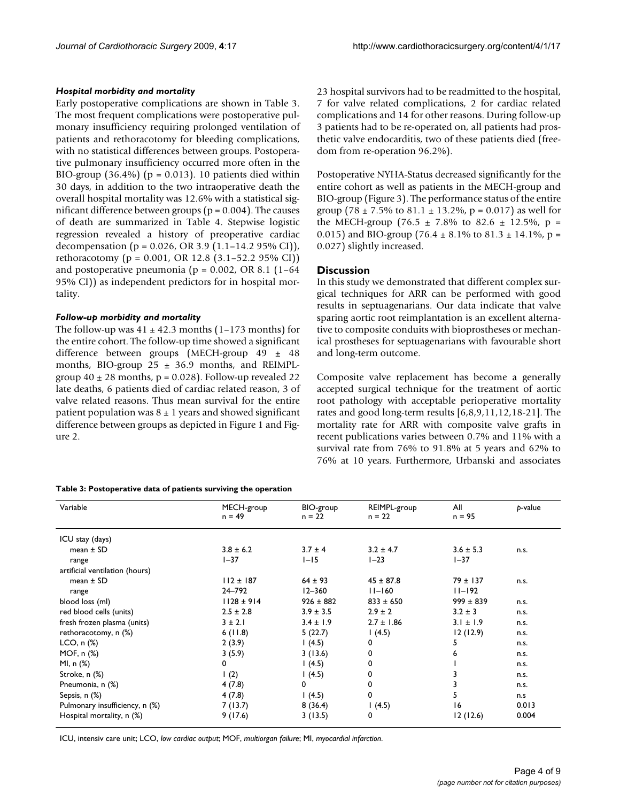#### *Hospital morbidity and mortality*

Early postoperative complications are shown in Table 3. The most frequent complications were postoperative pulmonary insufficiency requiring prolonged ventilation of patients and rethoracotomy for bleeding complications, with no statistical differences between groups. Postoperative pulmonary insufficiency occurred more often in the BIO-group  $(36.4\%)$  (p = 0.013). 10 patients died within 30 days, in addition to the two intraoperative death the overall hospital mortality was 12.6% with a statistical significant difference between groups ( $p = 0.004$ ). The causes of death are summarized in Table 4. Stepwise logistic regression revealed a history of preoperative cardiac decompensation (p = 0.026, OR 3.9 (1.1–14.2 95% CI)), rethoracotomy (p = 0.001, OR 12.8 (3.1–52.2 95% CI)) and postoperative pneumonia ( $p = 0.002$ , OR 8.1 (1-64) 95% CI)) as independent predictors for in hospital mortality.

#### *Follow-up morbidity and mortality*

The follow-up was  $41 \pm 42.3$  months (1–173 months) for the entire cohort. The follow-up time showed a significant difference between groups (MECH-group 49 ± 48 months, BIO-group  $25 \pm 36.9$  months, and REIMPLgroup  $40 \pm 28$  months, p = 0.028). Follow-up revealed 22 late deaths, 6 patients died of cardiac related reason, 3 of valve related reasons. Thus mean survival for the entire patient population was  $8 \pm 1$  years and showed significant difference between groups as depicted in Figure 1 and Figure 2.

#### **Table 3: Postoperative data of patients surviving the operation**

23 hospital survivors had to be readmitted to the hospital, 7 for valve related complications, 2 for cardiac related complications and 14 for other reasons. During follow-up 3 patients had to be re-operated on, all patients had prosthetic valve endocarditis, two of these patients died (freedom from re-operation 96.2%).

Postoperative NYHA-Status decreased significantly for the entire cohort as well as patients in the MECH-group and BIO-group (Figure 3). The performance status of the entire group (78  $\pm$  7.5% to 81.1  $\pm$  13.2%, p = 0.017) as well for the MECH-group (76.5  $\pm$  7.8% to 82.6  $\pm$  12.5%, p = 0.015) and BIO-group (76.4  $\pm$  8.1% to 81.3  $\pm$  14.1%, p = 0.027) slightly increased.

#### **Discussion**

In this study we demonstrated that different complex surgical techniques for ARR can be performed with good results in septuagenarians. Our data indicate that valve sparing aortic root reimplantation is an excellent alternative to composite conduits with bioprostheses or mechanical prostheses for septuagenarians with favourable short and long-term outcome.

Composite valve replacement has become a generally accepted surgical technique for the treatment of aortic root pathology with acceptable perioperative mortality rates and good long-term results [6,8,9,11,12,18-21]. The mortality rate for ARR with composite valve grafts in recent publications varies between 0.7% and 11% with a survival rate from 76% to 91.8% at 5 years and 62% to 76% at 10 years. Furthermore, Urbanski and associates

| Variable                       | MECH-group<br>$n = 49$ | BIO-group<br>$n = 22$ | REIMPL-group<br>$n = 22$ | All<br>$n = 95$ | p-value |
|--------------------------------|------------------------|-----------------------|--------------------------|-----------------|---------|
| ICU stay (days)                |                        |                       |                          |                 |         |
| mean $\pm$ SD                  | $3.8 \pm 6.2$          | $3.7 \pm 4$           | $3.2 \pm 4.7$            | $3.6 \pm 5.3$   | n.s.    |
| range                          | $1 - 37$               | $I-I5$                | $1 - 23$                 | $1 - 37$        |         |
| artificial ventilation (hours) |                        |                       |                          |                 |         |
| mean $\pm$ SD                  | $112 \pm 187$          | $64 \pm 93$           | $45 \pm 87.8$            | $79 \pm 137$    | n.s.    |
| range                          | 24-792                 | $12 - 360$            | $11 - 160$               | $11 - 192$      |         |
| blood loss (ml)                | $1128 \pm 914$         | $926 \pm 882$         | $833 \pm 650$            | $999 \pm 839$   | n.s.    |
| red blood cells (units)        | $2.5 \pm 2.8$          | $3.9 \pm 3.5$         | $2.9 \pm 2$              | $3.2 \pm 3$     | n.s.    |
| fresh frozen plasma (units)    | 3 ± 2.1                | $3.4 \pm 1.9$         | $2.7 \pm 1.86$           | $3.1 \pm 1.9$   | n.s.    |
| rethoracotomy, n (%)           | 6(11.8)                | 5(22.7)               | 1(4.5)                   | 12(12.9)        | n.s.    |
| $LCO$ , n $(\%)$               | 2(3.9)                 | (4.5)                 | 0                        | 5               | n.s.    |
| MOF, n (%)                     | 3(5.9)                 | 3(13.6)               | 0                        | 6               | n.s.    |
| MI, n (%)                      | 0                      | (4.5)                 | 0                        |                 | n.s.    |
| Stroke, n (%)                  | $\binom{2}{2}$         | (4.5)                 | 0                        |                 | n.s.    |
| Pneumonia, n (%)               | 4(7.8)                 | 0                     | 0                        |                 | n.s.    |
| Sepsis, n (%)                  | 4(7.8)                 | (4.5)                 | 0                        | 5               | n.s     |
| Pulmonary insufficiency, n (%) | 7(13.7)                | 8(36.4)               | 1(4.5)                   | 16              | 0.013   |
| Hospital mortality, n (%)      | 9(17.6)                | 3(13.5)               | 0                        | 12(12.6)        | 0.004   |

ICU, intensiv care unit; LCO, *low cardiac output*; MOF, *multiorgan failure*; MI, *myocardial infarction*.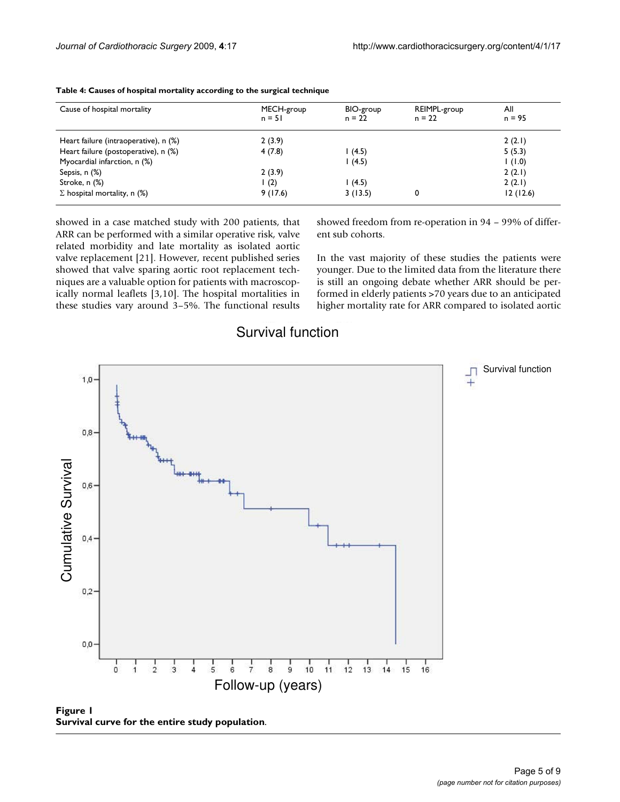| Cause of hospital mortality           | MECH-group<br>$n = 51$ | BIO-group<br>$n = 22$ | REIMPL-group<br>$n = 22$ | All<br>$n = 95$ |
|---------------------------------------|------------------------|-----------------------|--------------------------|-----------------|
| Heart failure (intraoperative), n (%) | 2(3.9)                 |                       |                          | 2(2.1)          |
| Heart failure (postoperative), n (%)  | 4(7.8)                 | 1(4.5)                |                          | 5(5.3)          |
| Myocardial infarction, n (%)          |                        | 1(4.5)                |                          | $(0.1)$ 1       |
| Sepsis, n (%)                         | 2(3.9)                 |                       |                          | 2(2.1)          |
| Stroke, n (%)                         | (2)                    | l (4.5)               |                          | 2(2.1)          |
| $\Sigma$ hospital mortality, n (%)    | 9(17.6)                | 3(13.5)               | 0                        | 12(12.6)        |

**Table 4: Causes of hospital mortality according to the surgical technique**

showed in a case matched study with 200 patients, that ARR can be performed with a similar operative risk, valve related morbidity and late mortality as isolated aortic valve replacement [21]. However, recent published series showed that valve sparing aortic root replacement techniques are a valuable option for patients with macroscopically normal leaflets [3,10]. The hospital mortalities in these studies vary around 3–5%. The functional results showed freedom from re-operation in 94 – 99% of different sub cohorts.

In the vast majority of these studies the patients were younger. Due to the limited data from the literature there is still an ongoing debate whether ARR should be performed in elderly patients >70 years due to an anticipated higher mortality rate for ARR compared to isolated aortic



## Survival function

**Figure 1 Survival curve for the entire study population**.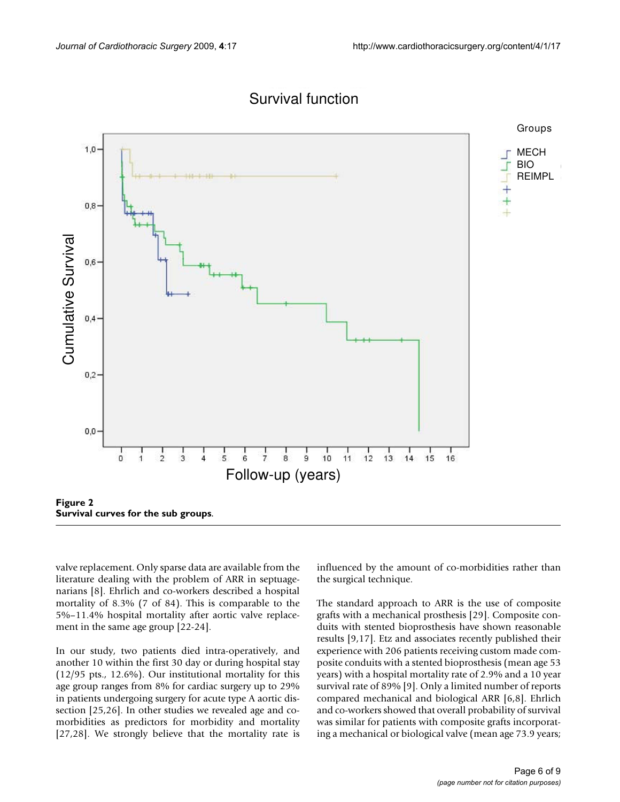

## Survival function

valve replacement. Only sparse data are available from the literature dealing with the problem of ARR in septuagenarians [8]. Ehrlich and co-workers described a hospital mortality of 8.3% (7 of 84). This is comparable to the 5%–11.4% hospital mortality after aortic valve replacement in the same age group [22-24].

In our study, two patients died intra-operatively, and another 10 within the first 30 day or during hospital stay (12/95 pts., 12.6%). Our institutional mortality for this age group ranges from 8% for cardiac surgery up to 29% in patients undergoing surgery for acute type A aortic dissection [25,26]. In other studies we revealed age and comorbidities as predictors for morbidity and mortality [27,28]. We strongly believe that the mortality rate is influenced by the amount of co-morbidities rather than the surgical technique.

The standard approach to ARR is the use of composite grafts with a mechanical prosthesis [29]. Composite conduits with stented bioprosthesis have shown reasonable results [9,17]. Etz and associates recently published their experience with 206 patients receiving custom made composite conduits with a stented bioprosthesis (mean age 53 years) with a hospital mortality rate of 2.9% and a 10 year survival rate of 89% [9]. Only a limited number of reports compared mechanical and biological ARR [6,8]. Ehrlich and co-workers showed that overall probability of survival was similar for patients with composite grafts incorporating a mechanical or biological valve (mean age 73.9 years;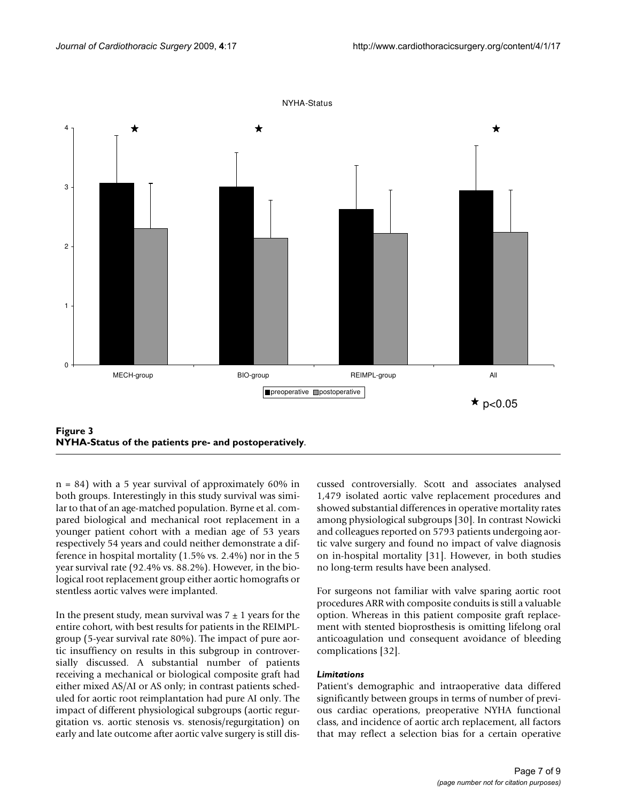

**NYHA-Status of the patients pre- and postoperatively**.

 $n = 84$ ) with a 5 year survival of approximately 60% in both groups. Interestingly in this study survival was similar to that of an age-matched population. Byrne et al. compared biological and mechanical root replacement in a younger patient cohort with a median age of 53 years respectively 54 years and could neither demonstrate a difference in hospital mortality (1.5% vs. 2.4%) nor in the 5 year survival rate (92.4% vs. 88.2%). However, in the biological root replacement group either aortic homografts or stentless aortic valves were implanted.

In the present study, mean survival was  $7 \pm 1$  years for the entire cohort, with best results for patients in the REIMPLgroup (5-year survival rate 80%). The impact of pure aortic insuffiency on results in this subgroup in controversially discussed. A substantial number of patients receiving a mechanical or biological composite graft had either mixed AS/AI or AS only; in contrast patients scheduled for aortic root reimplantation had pure AI only. The impact of different physiological subgroups (aortic regurgitation vs. aortic stenosis vs. stenosis/regurgitation) on early and late outcome after aortic valve surgery is still discussed controversially. Scott and associates analysed 1,479 isolated aortic valve replacement procedures and showed substantial differences in operative mortality rates among physiological subgroups [30]. In contrast Nowicki and colleagues reported on 5793 patients undergoing aortic valve surgery and found no impact of valve diagnosis on in-hospital mortality [31]. However, in both studies no long-term results have been analysed.

For surgeons not familiar with valve sparing aortic root procedures ARR with composite conduits is still a valuable option. Whereas in this patient composite graft replacement with stented bioprosthesis is omitting lifelong oral anticoagulation und consequent avoidance of bleeding complications [32].

#### *Limitations*

Patient's demographic and intraoperative data differed significantly between groups in terms of number of previous cardiac operations, preoperative NYHA functional class, and incidence of aortic arch replacement, all factors that may reflect a selection bias for a certain operative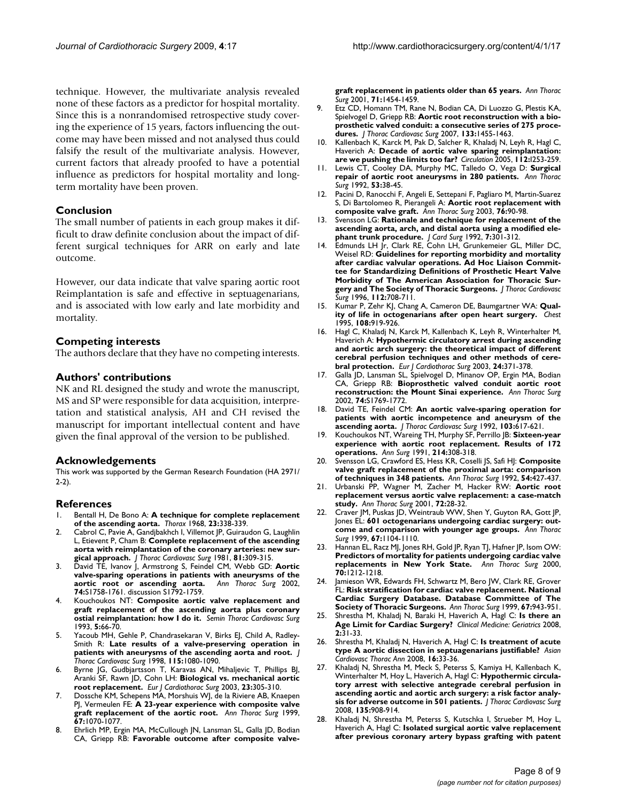technique. However, the multivariate analysis revealed none of these factors as a predictor for hospital mortality. Since this is a nonrandomised retrospective study covering the experience of 15 years, factors influencing the outcome may have been missed and not analysed thus could falsify the result of the multivariate analysis. However, current factors that already proofed to have a potential influence as predictors for hospital mortality and longterm mortality have been proven.

#### **Conclusion**

The small number of patients in each group makes it difficult to draw definite conclusion about the impact of different surgical techniques for ARR on early and late outcome.

However, our data indicate that valve sparing aortic root Reimplantation is safe and effective in septuagenarians, and is associated with low early and late morbidity and mortality.

#### **Competing interests**

The authors declare that they have no competing interests.

#### **Authors' contributions**

NK and RL designed the study and wrote the manuscript, MS and SP were responsible for data acquisition, interpretation and statistical analysis, AH and CH revised the manuscript for important intellectual content and have given the final approval of the version to be published.

#### **Acknowledgements**

This work was supported by the German Research Foundation (HA 2971/ 2-2).

#### **References**

- 1. Bentall H, De Bono A: **[A technique for complete replacement](http://www.ncbi.nlm.nih.gov/entrez/query.fcgi?cmd=Retrieve&db=PubMed&dopt=Abstract&list_uids=5664694) [of the ascending aorta.](http://www.ncbi.nlm.nih.gov/entrez/query.fcgi?cmd=Retrieve&db=PubMed&dopt=Abstract&list_uids=5664694)** *Thorax* 1968, **23:**338-339.
- Cabrol C, Pavie A, Gandjbakhch I, Villemot JP, Guiraudon G, Laughlin L, Etievent P, Cham B: **[Complete replacement of the ascending](http://www.ncbi.nlm.nih.gov/entrez/query.fcgi?cmd=Retrieve&db=PubMed&dopt=Abstract&list_uids=7453242) [aorta with reimplantation of the coronary arteries: new sur](http://www.ncbi.nlm.nih.gov/entrez/query.fcgi?cmd=Retrieve&db=PubMed&dopt=Abstract&list_uids=7453242)[gical approach.](http://www.ncbi.nlm.nih.gov/entrez/query.fcgi?cmd=Retrieve&db=PubMed&dopt=Abstract&list_uids=7453242)** *J Thorac Cardiovasc Surg* 1981, **81:**309-315.
- 3. David TE, Ivanov J, Armstrong S, Feindel CM, Webb GD: **[Aortic](http://www.ncbi.nlm.nih.gov/entrez/query.fcgi?cmd=Retrieve&db=PubMed&dopt=Abstract&list_uids=12440659) [valve-sparing operations in patients with aneurysms of the](http://www.ncbi.nlm.nih.gov/entrez/query.fcgi?cmd=Retrieve&db=PubMed&dopt=Abstract&list_uids=12440659) [aortic root or ascending aorta.](http://www.ncbi.nlm.nih.gov/entrez/query.fcgi?cmd=Retrieve&db=PubMed&dopt=Abstract&list_uids=12440659)** *Ann Thorac Surg* 2002, **74:**S1758-1761. discussion S1792-1759.
- 4. Kouchoukos NT: **[Composite aortic valve replacement and](http://www.ncbi.nlm.nih.gov/entrez/query.fcgi?cmd=Retrieve&db=PubMed&dopt=Abstract&list_uids=8425005) [graft replacement of the ascending aorta plus coronary](http://www.ncbi.nlm.nih.gov/entrez/query.fcgi?cmd=Retrieve&db=PubMed&dopt=Abstract&list_uids=8425005) [ostial reimplantation: how I do it.](http://www.ncbi.nlm.nih.gov/entrez/query.fcgi?cmd=Retrieve&db=PubMed&dopt=Abstract&list_uids=8425005)** *Semin Thorac Cardiovasc Surg* 1993, **5:**66-70.
- Yacoub MH, Gehle P, Chandrasekaran V, Birks EJ, Child A, Radley-Smith R: **[Late results of a valve-preserving operation in](http://www.ncbi.nlm.nih.gov/entrez/query.fcgi?cmd=Retrieve&db=PubMed&dopt=Abstract&list_uids=9605078) [patients with aneurysms of the ascending aorta and root.](http://www.ncbi.nlm.nih.gov/entrez/query.fcgi?cmd=Retrieve&db=PubMed&dopt=Abstract&list_uids=9605078)** *J Thorac Cardiovasc Surg* 1998, **115:**1080-1090.
- 6. Byrne JG, Gudbjartsson T, Karavas AN, Mihaljevic T, Phillips BJ, Aranki SF, Rawn JD, Cohn LH: **[Biological vs. mechanical aortic](http://www.ncbi.nlm.nih.gov/entrez/query.fcgi?cmd=Retrieve&db=PubMed&dopt=Abstract&list_uids=12614798) [root replacement.](http://www.ncbi.nlm.nih.gov/entrez/query.fcgi?cmd=Retrieve&db=PubMed&dopt=Abstract&list_uids=12614798)** *Eur J Cardiothorac Surg* 2003, **23:**305-310.
- 7. Dossche KM, Schepens MA, Morshuis WJ, de la Riviere AB, Knaepen PJ, Vermeulen FE: **[A 23-year experience with composite valve](http://www.ncbi.nlm.nih.gov/entrez/query.fcgi?cmd=Retrieve&db=PubMed&dopt=Abstract&list_uids=10320253) [graft replacement of the aortic root.](http://www.ncbi.nlm.nih.gov/entrez/query.fcgi?cmd=Retrieve&db=PubMed&dopt=Abstract&list_uids=10320253)** *Ann Thorac Surg* 1999, **67:**1070-1077.
- 8. Ehrlich MP, Ergin MA, McCullough JN, Lansman SL, Galla JD, Bodian CA, Griepp RB: **[Favorable outcome after composite valve-](http://www.ncbi.nlm.nih.gov/entrez/query.fcgi?cmd=Retrieve&db=PubMed&dopt=Abstract&list_uids=11383782)**

**[graft replacement in patients older than 65 years.](http://www.ncbi.nlm.nih.gov/entrez/query.fcgi?cmd=Retrieve&db=PubMed&dopt=Abstract&list_uids=11383782)** *Ann Thorac Surg* 2001, **71:**1454-1459.

- 9. Etz CD, Homann TM, Rane N, Bodian CA, Di Luozzo G, Plestis KA, Spielvogel D, Griepp RB: **[Aortic root reconstruction with a bio](http://www.ncbi.nlm.nih.gov/entrez/query.fcgi?cmd=Retrieve&db=PubMed&dopt=Abstract&list_uids=17532939)[prosthetic valved conduit: a consecutive series of 275 proce](http://www.ncbi.nlm.nih.gov/entrez/query.fcgi?cmd=Retrieve&db=PubMed&dopt=Abstract&list_uids=17532939)[dures.](http://www.ncbi.nlm.nih.gov/entrez/query.fcgi?cmd=Retrieve&db=PubMed&dopt=Abstract&list_uids=17532939)** *J Thorac Cardiovasc Surg* 2007, **133:**1455-1463.
- 10. Kallenbach K, Karck M, Pak D, Salcher R, Khaladj N, Leyh R, Hagl C, Haverich A: **[Decade of aortic valve sparing reimplantation:](http://www.ncbi.nlm.nih.gov/entrez/query.fcgi?cmd=Retrieve&db=PubMed&dopt=Abstract&list_uids=16159826) [are we pushing the limits too far?](http://www.ncbi.nlm.nih.gov/entrez/query.fcgi?cmd=Retrieve&db=PubMed&dopt=Abstract&list_uids=16159826)** *Circulation* 2005, **112:**I253-259.
- 11. Lewis CT, Cooley DA, Murphy MC, Talledo O, Vega D: **[Surgical](http://www.ncbi.nlm.nih.gov/entrez/query.fcgi?cmd=Retrieve&db=PubMed&dopt=Abstract&list_uids=1728240) [repair of aortic root aneurysms in 280 patients.](http://www.ncbi.nlm.nih.gov/entrez/query.fcgi?cmd=Retrieve&db=PubMed&dopt=Abstract&list_uids=1728240)** *Ann Thorac Surg* 1992, **53:**38-45.
- 12. Pacini D, Ranocchi F, Angeli E, Settepani F, Pagliaro M, Martin-Suarez S, Di Bartolomeo R, Pierangeli A: **[Aortic root replacement with](http://www.ncbi.nlm.nih.gov/entrez/query.fcgi?cmd=Retrieve&db=PubMed&dopt=Abstract&list_uids=12842520) [composite valve graft.](http://www.ncbi.nlm.nih.gov/entrez/query.fcgi?cmd=Retrieve&db=PubMed&dopt=Abstract&list_uids=12842520)** *Ann Thorac Surg* 2003, **76:**90-98.
- 13. Svensson LG: **[Rationale and technique for replacement of the](http://www.ncbi.nlm.nih.gov/entrez/query.fcgi?cmd=Retrieve&db=PubMed&dopt=Abstract&list_uids=1482823) [ascending aorta, arch, and distal aorta using a modified ele](http://www.ncbi.nlm.nih.gov/entrez/query.fcgi?cmd=Retrieve&db=PubMed&dopt=Abstract&list_uids=1482823)[phant trunk procedure.](http://www.ncbi.nlm.nih.gov/entrez/query.fcgi?cmd=Retrieve&db=PubMed&dopt=Abstract&list_uids=1482823)** *J Card Surg* 1992, **7:**301-312.
- 14. Edmunds LH Jr, Clark RE, Cohn LH, Grunkemeier GL, Miller DC, Weisel RD: **[Guidelines for reporting morbidity and mortality](http://www.ncbi.nlm.nih.gov/entrez/query.fcgi?cmd=Retrieve&db=PubMed&dopt=Abstract&list_uids=8800159) [after cardiac valvular operations. Ad Hoc Liaison Commit](http://www.ncbi.nlm.nih.gov/entrez/query.fcgi?cmd=Retrieve&db=PubMed&dopt=Abstract&list_uids=8800159)tee for Standardizing Definitions of Prosthetic Heart Valve Morbidity of The American Association for Thoracic Sur[gery and The Society of Thoracic Surgeons.](http://www.ncbi.nlm.nih.gov/entrez/query.fcgi?cmd=Retrieve&db=PubMed&dopt=Abstract&list_uids=8800159)** *J Thorac Cardiovasc Surg* 1996, **112:**708-711.
- 15. Kumar P, Zehr KJ, Chang A, Cameron DE, Baumgartner WA: **[Qual](http://www.ncbi.nlm.nih.gov/entrez/query.fcgi?cmd=Retrieve&db=PubMed&dopt=Abstract&list_uids=7555161)[ity of life in octogenarians after open heart surgery.](http://www.ncbi.nlm.nih.gov/entrez/query.fcgi?cmd=Retrieve&db=PubMed&dopt=Abstract&list_uids=7555161)** *Chest* 1995, **108:**919-926.
- 16. Hagl C, Khaladj N, Karck M, Kallenbach K, Leyh R, Winterhalter M, Haverich A: **[Hypothermic circulatory arrest during ascending](http://www.ncbi.nlm.nih.gov/entrez/query.fcgi?cmd=Retrieve&db=PubMed&dopt=Abstract&list_uids=12965307) [and aortic arch surgery: the theoretical impact of different](http://www.ncbi.nlm.nih.gov/entrez/query.fcgi?cmd=Retrieve&db=PubMed&dopt=Abstract&list_uids=12965307) cerebral perfusion techniques and other methods of cere[bral protection.](http://www.ncbi.nlm.nih.gov/entrez/query.fcgi?cmd=Retrieve&db=PubMed&dopt=Abstract&list_uids=12965307)** *Eur J Cardiothorac Surg* 2003, **24:**371-378.
- 17. Galla JD, Lansman SL, Spielvogel D, Minanov OP, Ergin MA, Bodian CA, Griepp RB: **[Bioprosthetic valved conduit aortic root](http://www.ncbi.nlm.nih.gov/entrez/query.fcgi?cmd=Retrieve&db=PubMed&dopt=Abstract&list_uids=12440662) [reconstruction: the Mount Sinai experience.](http://www.ncbi.nlm.nih.gov/entrez/query.fcgi?cmd=Retrieve&db=PubMed&dopt=Abstract&list_uids=12440662)** *Ann Thorac Surg* 2002, **74:**S1769-1772.
- 18. David TE, Feindel CM: **[An aortic valve-sparing operation for](http://www.ncbi.nlm.nih.gov/entrez/query.fcgi?cmd=Retrieve&db=PubMed&dopt=Abstract&list_uids=1532219) [patients with aortic incompetence and aneurysm of the](http://www.ncbi.nlm.nih.gov/entrez/query.fcgi?cmd=Retrieve&db=PubMed&dopt=Abstract&list_uids=1532219) [ascending aorta.](http://www.ncbi.nlm.nih.gov/entrez/query.fcgi?cmd=Retrieve&db=PubMed&dopt=Abstract&list_uids=1532219)** *J Thorac Cardiovasc Surg* 1992, **103:**617-621.
- 19. Kouchoukos NT, Wareing TH, Murphy SF, Perrillo JB: **[Sixteen-year](http://www.ncbi.nlm.nih.gov/entrez/query.fcgi?cmd=Retrieve&db=PubMed&dopt=Abstract&list_uids=1834031) [experience with aortic root replacement. Results of 172](http://www.ncbi.nlm.nih.gov/entrez/query.fcgi?cmd=Retrieve&db=PubMed&dopt=Abstract&list_uids=1834031) [operations.](http://www.ncbi.nlm.nih.gov/entrez/query.fcgi?cmd=Retrieve&db=PubMed&dopt=Abstract&list_uids=1834031)** *Ann Surg* 1991, **214:**308-318.
- 20. Svensson LG, Crawford ES, Hess KR, Coselli JS, Safi HJ: **[Composite](http://www.ncbi.nlm.nih.gov/entrez/query.fcgi?cmd=Retrieve&db=PubMed&dopt=Abstract&list_uids=1510509) [valve graft replacement of the proximal aorta: comparison](http://www.ncbi.nlm.nih.gov/entrez/query.fcgi?cmd=Retrieve&db=PubMed&dopt=Abstract&list_uids=1510509) [of techniques in 348 patients.](http://www.ncbi.nlm.nih.gov/entrez/query.fcgi?cmd=Retrieve&db=PubMed&dopt=Abstract&list_uids=1510509)** *Ann Thorac Surg* 1992, **54:**427-437.
- 21. Urbanski PP, Wagner M, Zacher M, Hacker RW: **[Aortic root](http://www.ncbi.nlm.nih.gov/entrez/query.fcgi?cmd=Retrieve&db=PubMed&dopt=Abstract&list_uids=11465204) [replacement versus aortic valve replacement: a case-match](http://www.ncbi.nlm.nih.gov/entrez/query.fcgi?cmd=Retrieve&db=PubMed&dopt=Abstract&list_uids=11465204) [study.](http://www.ncbi.nlm.nih.gov/entrez/query.fcgi?cmd=Retrieve&db=PubMed&dopt=Abstract&list_uids=11465204)** *Ann Thorac Surg* 2001, **72:**28-32.
- 22. Craver JM, Puskas JD, Weintraub WW, Shen Y, Guyton RA, Gott JP, Jones EL: **[601 octogenarians undergoing cardiac surgery: out](http://www.ncbi.nlm.nih.gov/entrez/query.fcgi?cmd=Retrieve&db=PubMed&dopt=Abstract&list_uids=10320258)[come and comparison with younger age groups.](http://www.ncbi.nlm.nih.gov/entrez/query.fcgi?cmd=Retrieve&db=PubMed&dopt=Abstract&list_uids=10320258)** *Ann Thorac Surg* 1999, **67:**1104-1110.
- 23. Hannan EL, Racz MJ, Jones RH, Gold JP, Ryan TJ, Hafner JP, Isom OW: **[Predictors of mortality for patients undergoing cardiac valve](http://www.ncbi.nlm.nih.gov/entrez/query.fcgi?cmd=Retrieve&db=PubMed&dopt=Abstract&list_uids=11081873) [replacements in New York State.](http://www.ncbi.nlm.nih.gov/entrez/query.fcgi?cmd=Retrieve&db=PubMed&dopt=Abstract&list_uids=11081873)** *Ann Thorac Surg* 2000, **70:**1212-1218.
- Jamieson WR, Edwards FH, Schwartz M, Bero JW, Clark RE, Grover FL: **[Risk stratification for cardiac valve replacement. National](http://www.ncbi.nlm.nih.gov/entrez/query.fcgi?cmd=Retrieve&db=PubMed&dopt=Abstract&list_uids=10320233) [Cardiac Surgery Database. Database Committee of The](http://www.ncbi.nlm.nih.gov/entrez/query.fcgi?cmd=Retrieve&db=PubMed&dopt=Abstract&list_uids=10320233) [Society of Thoracic Surgeons.](http://www.ncbi.nlm.nih.gov/entrez/query.fcgi?cmd=Retrieve&db=PubMed&dopt=Abstract&list_uids=10320233)** *Ann Thorac Surg* 1999, **67:**943-951.
- 25. Shrestha M, Khaladj N, Baraki H, Haverich A, Hagl C: **Is there an Age Limit for Cardiac Surgery?** *Clinical Medicine: Geriatrics* 2008, **2:**31-33.
- 26. Shrestha M, Khaladj N, Haverich A, Hagl C: **[Is treatment of acute](http://www.ncbi.nlm.nih.gov/entrez/query.fcgi?cmd=Retrieve&db=PubMed&dopt=Abstract&list_uids=18245703) [type A aortic dissection in septuagenarians justifiable?](http://www.ncbi.nlm.nih.gov/entrez/query.fcgi?cmd=Retrieve&db=PubMed&dopt=Abstract&list_uids=18245703)** *Asian Cardiovasc Thorac Ann* 2008, **16:**33-36.
- 27. Khaladj N, Shrestha M, Meck S, Peterss S, Kamiya H, Kallenbach K, Winterhalter M, Hoy L, Haverich A, Hagl C: **[Hypothermic circula](http://www.ncbi.nlm.nih.gov/entrez/query.fcgi?cmd=Retrieve&db=PubMed&dopt=Abstract&list_uids=18374779)[tory arrest with selective antegrade cerebral perfusion in](http://www.ncbi.nlm.nih.gov/entrez/query.fcgi?cmd=Retrieve&db=PubMed&dopt=Abstract&list_uids=18374779) ascending aortic and aortic arch surgery: a risk factor analy[sis for adverse outcome in 501 patients.](http://www.ncbi.nlm.nih.gov/entrez/query.fcgi?cmd=Retrieve&db=PubMed&dopt=Abstract&list_uids=18374779)** *J Thorac Cardiovasc Surg* 2008, **135:**908-914.
- Khaladj N, Shrestha M, Peterss S, Kutschka I, Strueber M, Hoy L, Haverich A, Hagl C: **[Isolated surgical aortic valve replacement](http://www.ncbi.nlm.nih.gov/entrez/query.fcgi?cmd=Retrieve&db=PubMed&dopt=Abstract&list_uids=19110438) [after previous coronary artery bypass grafting with patent](http://www.ncbi.nlm.nih.gov/entrez/query.fcgi?cmd=Retrieve&db=PubMed&dopt=Abstract&list_uids=19110438)**